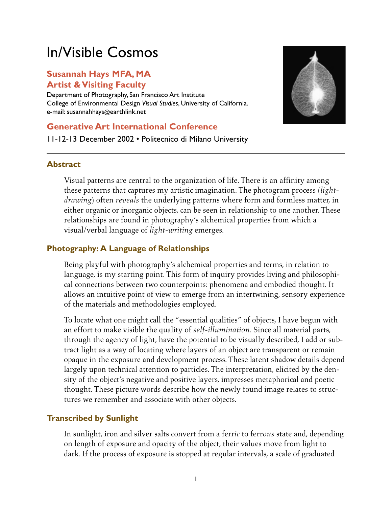# In/Visible Cosmos

## **Susannah Hays MFA, MA Artist & Visiting Faculty**

Department of Photography, San Francisco Art Institute College of Environmental Design *Visual Studies*, University of California. e-mail: susannahhays@earthlink.net

## **Generative Art International Conference**

11-12-13 December 2002 • Politecnico di Milano University



#### **Abstract**

Visual patterns are central to the organization of life. There is an affinity among these patterns that captures my artistic imagination. The photogram process (*lightdrawing*) often *reveals* the underlying patterns where form and formless matter, in either organic or inorganic objects, can be seen in relationship to one another. These relationships are found in photography's alchemical properties from which a visual/verbal language of *light-writing* emerges.

### **Photography: A Language of Relationships**

Being playful with photography's alchemical properties and terms, in relation to language, is my starting point. This form of inquiry provides living and philosophical connections between two counterpoints: phenomena and embodied thought. It allows an intuitive point of view to emerge from an intertwining, sensory experience of the materials and methodologies employed.

To locate what one might call the "essential qualities" of objects, I have begun with an effort to make visible the quality of *self-illumination*. Since all material parts, through the agency of light, have the potential to be visually described, I add or subtract light as a way of locating where layers of an object are transparent or remain opaque in the exposure and development process. These latent shadow details depend largely upon technical attention to particles. The interpretation, elicited by the density of the object's negative and positive layers, impresses metaphorical and poetic thought. These picture words describe how the newly found image relates to structures we remember and associate with other objects.

## **Transcribed by Sunlight**

In sunlight, iron and silver salts convert from a ferr*ic* to ferr*ous* state and, depending on length of exposure and opacity of the object, their values move from light to dark. If the process of exposure is stopped at regular intervals, a scale of graduated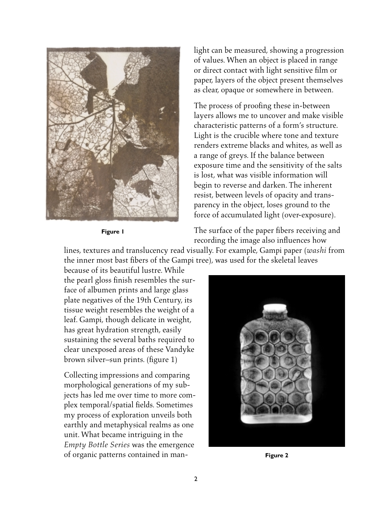

**Figure 1**

light can be measured, showing a progression of values. When an object is placed in range or direct contact with light sensitive film or paper, layers of the object present themselves as clear, opaque or somewhere in between.

The process of proofing these in-between layers allows me to uncover and make visible characteristic patterns of a form's structure. Light is the crucible where tone and texture renders extreme blacks and whites, as well as a range of greys. If the balance between exposure time and the sensitivity of the salts is lost, what was visible information will begin to reverse and darken. The inherent resist, between levels of opacity and transparency in the object, loses ground to the force of accumulated light (over-exposure).

The surface of the paper fibers receiving and recording the image also influences how

lines, textures and translucency read visually. For example, Gampi paper (*washi* from the inner most bast fibers of the Gampi tree), was used for the skeletal leaves

because of its beautiful lustre. While the pearl gloss finish resembles the surface of albumen prints and large glass plate negatives of the 19th Century, its tissue weight resembles the weight of a leaf. Gampi, though delicate in weight, has great hydration strength, easily sustaining the several baths required to clear unexposed areas of these Vandyke brown silver–sun prints. (figure 1)

Collecting impressions and comparing morphological generations of my subjects has led me over time to more complex temporal/spatial fields. Sometimes my process of exploration unveils both earthly and metaphysical realms as one unit. What became intriguing in the *Empty Bottle Series* was the emergence of organic patterns contained in man-



**Figure 2**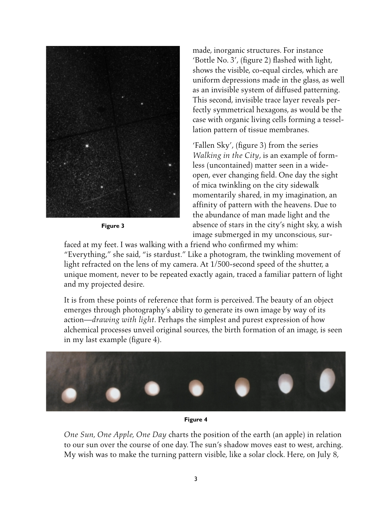

**Figure 3**

made, inorganic structures. For instance 'Bottle No. 3', (figure 2) flashed with light, shows the visible, co-equal circles, which are uniform depressions made in the glass, as well as an invisible system of diffused patterning. This second, invisible trace layer reveals perfectly symmetrical hexagons, as would be the case with organic living cells forming a tessellation pattern of tissue membranes.

'Fallen Sky', (figure 3) from the series *Walking in the City*, is an example of formless (uncontained) matter seen in a wideopen, ever changing field. One day the sight of mica twinkling on the city sidewalk momentarily shared, in my imagination, an affinity of pattern with the heavens. Due to the abundance of man made light and the absence of stars in the city's night sky, a wish image submerged in my unconscious, sur-

faced at my feet. I was walking with a friend who confirmed my whim: "Everything," she said, "is stardust." Like a photogram, the twinkling movement of light refracted on the lens of my camera. At 1/500-second speed of the shutter, a unique moment, never to be repeated exactly again, traced a familiar pattern of light and my projected desire.

It is from these points of reference that form is perceived. The beauty of an object emerges through photography's ability to generate its own image by way of its action—*drawing with light*. Perhaps the simplest and purest expression of how alchemical processes unveil original sources, the birth formation of an image, is seen in my last example (figure 4).



#### **Figure 4**

*One Sun, One Apple, One Day* charts the position of the earth (an apple) in relation to our sun over the course of one day. The sun's shadow moves east to west, arching. My wish was to make the turning pattern visible, like a solar clock. Here, on July 8,